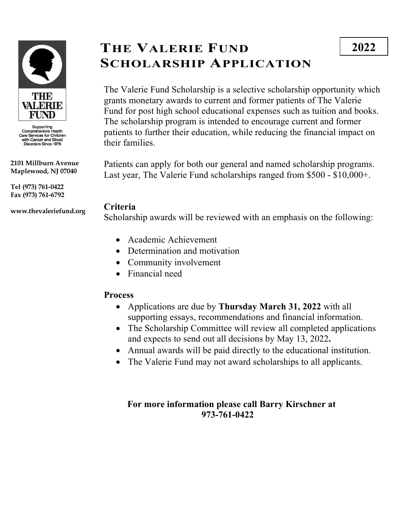

Supporting<br>Comprehensive Health<br>Care Services for Children<br>with Cancer and Blood<br>Disorders Since 1976

**2101 Millburn Avenue Maplewood, NJ 07040**

**Tel (973) 761-0422 Fax (973) 761-6792**

**www.thevaleriefund.org**

# **THE VALERIE FUND SCHOLARSHIP APPLICATION**

The Valerie Fund Scholarship is a selective scholarship opportunity which grants monetary awards to current and former patients of The Valerie Fund for post high school educational expenses such as tuition and books. The scholarship program is intended to encourage current and former patients to further their education, while reducing the financial impact on their families.

Patients can apply for both our general and named scholarship programs. Last year, The Valerie Fund scholarships ranged from \$500 - \$10,000+.

### **Criteria**

Scholarship awards will be reviewed with an emphasis on the following:

- Academic Achievement
- Determination and motivation
- Community involvement
- Financial need

### **Process**

- Applications are due by **Thursday March 31, 2022** with all supporting essays, recommendations and financial information.
- The Scholarship Committee will review all completed applications and expects to send out all decisions by May 13, 2022**.**
- Annual awards will be paid directly to the educational institution.
- The Valerie Fund may not award scholarships to all applicants.

### **For more information please call Barry Kirschner at 973-761-0422**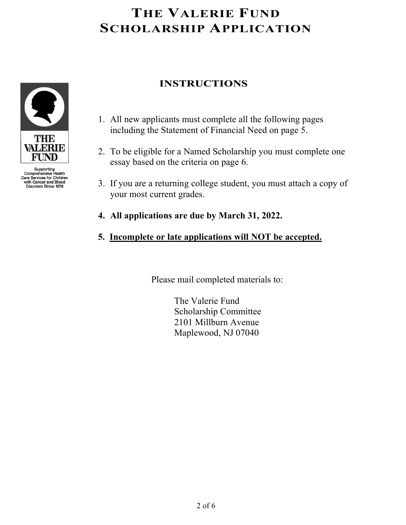

Supporting<br>Comprehensive Health<br>Care Services for Children with Cancer and Blood<br>Disorders Since 1976

## **INSTRUCTIONS**

- 1. All new applicants must complete all the following pages including the Statement of Financial Need on page 5.
- 2. To be eligible for a Named Scholarship you must complete one essay based on the criteria on page 6.
- 3. If you are a returning college student, you must attach a copy of your most current grades.
- **4. All applications are due by March 31, 2022.**
- **5. Incomplete or late applications will NOT be accepted.**

Please mail completed materials to:

 The Valerie Fund Scholarship Committee 2101 Millburn Avenue Maplewood, NJ 07040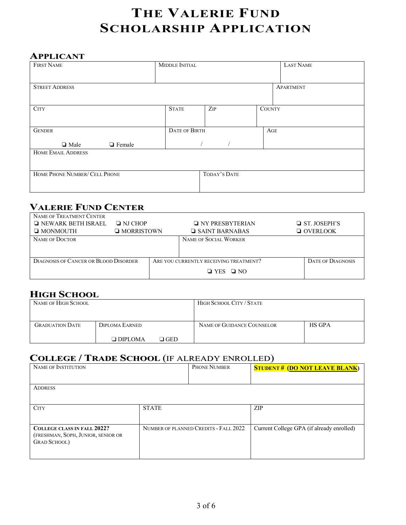#### **APPLICANT**

| <b>FIRST NAME</b>              | MIDDLE INITIAL       |              |        | LAST NAME |  |
|--------------------------------|----------------------|--------------|--------|-----------|--|
|                                |                      |              |        |           |  |
| <b>STREET ADDRESS</b>          |                      |              |        | APARTMENT |  |
|                                |                      |              |        |           |  |
| <b>CITY</b>                    | <b>STATE</b>         | ZIP          | COUNTY |           |  |
|                                |                      |              |        |           |  |
| <b>GENDER</b>                  | <b>DATE OF BIRTH</b> |              | AGE    |           |  |
| <b>Q</b> Female<br>$\Box$ Male |                      |              |        |           |  |
| <b>HOME EMAIL ADDRESS</b>      |                      |              |        |           |  |
|                                |                      |              |        |           |  |
| HOME PHONE NUMBER/ CELL PHONE  |                      | TODAY'S DATE |        |           |  |
|                                |                      |              |        |           |  |

### **VALERIE FUND CENTER**

| NAME OF TREATMENT CENTER                     |                   |  |                                        |  |                          |  |
|----------------------------------------------|-------------------|--|----------------------------------------|--|--------------------------|--|
| $\Box$ NEWARK BETH ISRAEL                    | $\Box$ NJ CHOP    |  | $\Box$ NY PRESBYTERIAN                 |  | $\Box$ ST. JOSEPH'S      |  |
| $\Box$ MONMOUTH                              | $\Box$ MORRISTOWN |  | $\Box$ SAINT BARNABAS                  |  | $\Box$ OVERLOOK          |  |
| NAME OF DOCTOR                               |                   |  | NAME OF SOCIAL WORKER                  |  |                          |  |
|                                              |                   |  |                                        |  |                          |  |
|                                              |                   |  |                                        |  |                          |  |
| <b>DIAGNOSIS OF CANCER OR BLOOD DISORDER</b> |                   |  | ARE YOU CURRENTLY RECEIVING TREATMENT? |  | <b>DATE OF DIAGNOSIS</b> |  |
|                                              |                   |  | $\Box$ YES $\Box$ NO                   |  |                          |  |

## **HIGH SCHOOL**

| NAME OF HIGH SCHOOL    |                |                | HIGH SCHOOL CITY / STATE   |               |
|------------------------|----------------|----------------|----------------------------|---------------|
| <b>GRADUATION DATE</b> | DIPLOMA EARNED |                | NAME OF GUIDANCE COUNSELOR | <b>HS GPA</b> |
|                        | $\Box$ DIPLOMA | $\square$ GED. |                            |               |

### **COLLEGE / TRADE SCHOOL** (IF ALREADY ENROLLED)

| NAME OF INSTITUTION                                                                              |              | PHONE NUMBER                          | <b>STUDENT# (DO NOT LEAVE BLANK)</b>      |
|--------------------------------------------------------------------------------------------------|--------------|---------------------------------------|-------------------------------------------|
| <b>ADDRESS</b>                                                                                   |              |                                       |                                           |
| <b>CITY</b>                                                                                      | <b>STATE</b> |                                       | <b>ZIP</b>                                |
| <b>COLLEGE CLASS IN FALL 2022?</b><br>(FRESHMAN, SOPH, JUNIOR, SENIOR OR<br><b>GRAD SCHOOL</b> ) |              | NUMBER OF PLANNED CREDITS - FALL 2022 | Current College GPA (if already enrolled) |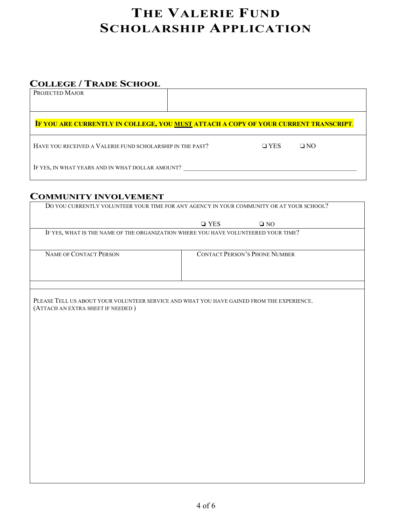### **COLLEGE / TRADE SCHOOL**

| PROJECTED MAJOR |
|-----------------|
|-----------------|

#### **IF YOU ARE CURRENTLY IN COLLEGE, YOU MUST ATTACH A COPY OF YOUR CURRENT TRANSCRIPT**.

HAVE YOU RECEIVED A VALERIE FUND SCHOLARSHIP IN THE PAST? ◯ │ │ │ │ YES │ │ │ NO

IF YES, IN WHAT YEARS AND IN WHAT DOLLAR AMOUNT? \_\_\_\_\_\_\_\_\_\_\_\_\_\_\_\_\_\_\_\_\_\_\_\_\_\_\_\_\_\_\_\_

#### **COMMUNITY INVOLVEMENT**

|                                   | $\Box$ YES<br>$\square$ NO                                                                |  |
|-----------------------------------|-------------------------------------------------------------------------------------------|--|
|                                   | IF YES, WHAT IS THE NAME OF THE ORGANIZATION WHERE YOU HAVE VOLUNTEERED YOUR TIME?        |  |
|                                   |                                                                                           |  |
| NAME OF CONTACT PERSON            | <b>CONTACT PERSON'S PHONE NUMBER</b>                                                      |  |
|                                   |                                                                                           |  |
|                                   |                                                                                           |  |
|                                   |                                                                                           |  |
|                                   | PLEASE TELL US ABOUT YOUR VOLUNTEER SERVICE AND WHAT YOU HAVE GAINED FROM THE EXPERIENCE. |  |
| (ATTACH AN EXTRA SHEET IF NEEDED) |                                                                                           |  |
|                                   |                                                                                           |  |
|                                   |                                                                                           |  |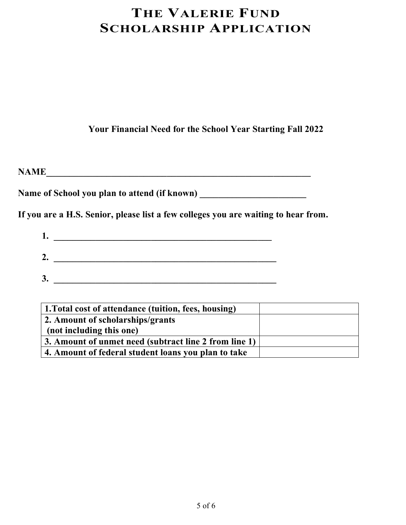**Your Financial Need for the School Year Starting Fall 2022**

**NAME\_\_\_\_\_\_\_\_\_\_\_\_\_\_\_\_\_\_\_\_\_\_\_\_\_\_\_\_\_\_\_\_\_\_\_\_\_\_\_\_\_\_\_\_\_\_\_\_\_\_\_\_\_\_\_\_\_**

**Name of School you plan to attend (if known) \_\_\_\_\_\_\_\_\_\_\_\_\_\_\_\_\_\_\_\_\_\_\_**

**If you are a H.S. Senior, please list a few colleges you are waiting to hear from.**

| ı. |  |  |  |
|----|--|--|--|
| 2. |  |  |  |
| 3  |  |  |  |

| 1. Total cost of attendance (tuition, fees, housing)  |  |
|-------------------------------------------------------|--|
| 2. Amount of scholarships/grants                      |  |
| (not including this one)                              |  |
| 3. Amount of unmet need (subtract line 2 from line 1) |  |
| 4. Amount of federal student loans you plan to take   |  |